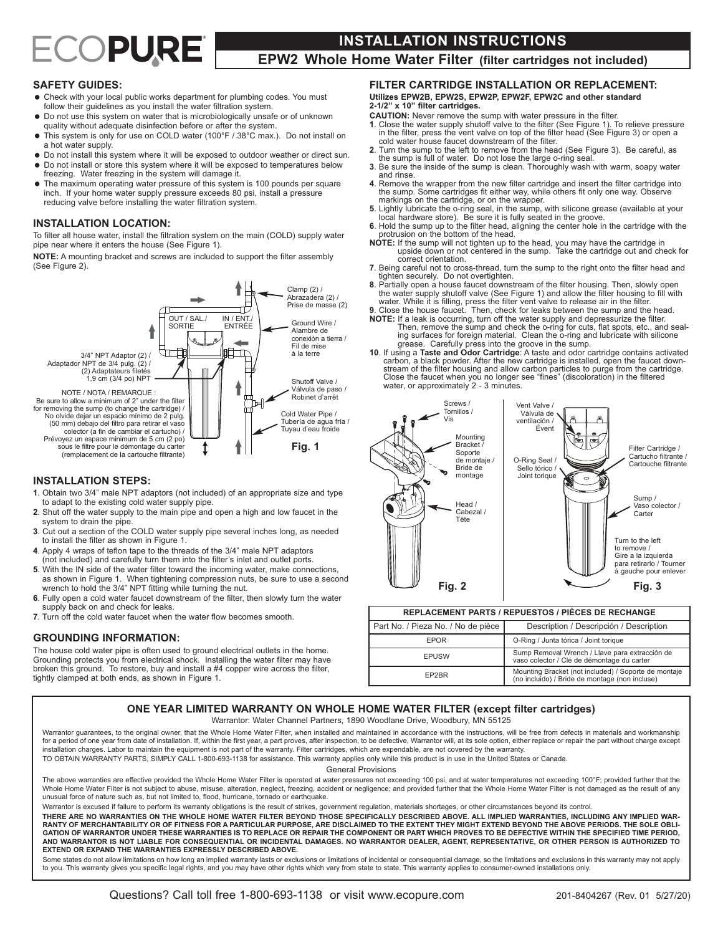# ECOPURE

# **INSTALLATION INSTRUCTIONS**

**EPW2 Whole Home Water Filter (filter cartridges not included)**

# **SAFETY GUIDES:**

- Check with your local public works department for plumbing codes. You must follow their guidelines as you install the water filtration system.
- $\bullet$  Do not use this system on water that is microbiologically unsafe or of unknown quality without adequate disinfection before or after the system.
- = This system is only for use on COLD water (100°F / 38°C max.). Do not install on a hot water supply.
- $\bullet$  Do not install this system where it will be exposed to outdoor weather or direct sun.  $\bullet$  Do not install or store this system where it will be exposed to temperatures below
- freezing. Water freezing in the system will damage it. The maximum operating water pressure of this system is 100 pounds per square
- inch. If your home water supply pressure exceeds 80 psi, install a pressure reducing valve before installing the water filtration system.

## **INSTALLATION LOCATION:**

To filter all house water, install the filtration system on the main (COLD) supply water pipe near where it enters the house (See Figure 1).

**NOTE:** A mounting bracket and screws are included to support the filter assembly (See Figure 2).



#### **INSTALLATION STEPS:**

- **1**. Obtain two 3/4" male NPT adaptors (not included) of an appropriate size and type to adapt to the existing cold water supply pipe.
- **2**. Shut off the water supply to the main pipe and open a high and low faucet in the system to drain the pipe.
- **3**. Cut out a section of the COLD water supply pipe several inches long, as needed to install the filter as shown in Figure 1.
- **4**. Apply 4 wraps of teflon tape to the threads of the 3/4" male NPT adaptors (not included) and carefully turn them into the filter's inlet and outlet ports.
- **5**. With the IN side of the water filter toward the incoming water, make connections, as shown in Figure 1. When tightening compression nuts, be sure to use a second wrench to hold the 3/4" NPT fitting while turning the nut.
- **6**. Fully open a cold water faucet downstream of the filter, then slowly turn the water supply back on and check for leaks.
- **7**. Turn off the cold water faucet when the water flow becomes smooth.

#### **GROUNDING INFORMATION:**

The house cold water pipe is often used to ground electrical outlets in the home. Grounding protects you from electrical shock. Installing the water filter may have broken this ground. To restore, buy and install a #4 copper wire across the filter, tightly clamped at both ends, as shown in Figure 1.

# **FILTER CARTRIDGE INSTALLATION OR REPLACEMENT:**

**Utilizes EPW2B, EPW2S, EPW2P, EPW2F, EPW2C and other standard 2-1/2" x 10" filter cartridges.**

- **CAUTION:** Never remove the sump with water pressure in the filter.
- 1. Close the water supply shutoff valve to the filter (See Figure 1). To relieve pressure in the filter, press the vent valve on top of the filter head (See Figure 3) or open a cold water house faucet downstream of the fil
- **<sup>2</sup>**. Turn the sump to the left to remove from the head (See Figure 3). Be careful, as the sump is full of water. Do not lose the large o-ring seal.
- **3**. Be sure the inside of the sump is clean. Thoroughly wash with warm, soapy water and rinse.<br>Remove the wrapper from the new filter cartridge and insert the filter cartridge into
- the sump. Some cartridges fit either way, while others fit only one way. Observe markings on the cartridge, or on the wrapper.<br>5. Lightly lubricate the o-ring seal, in the sump, with silicone grease (available at your
- 
- 5. Lightly lubricate the o-ring seal, in the sump, with silicone grease (available at your local hardware store). Be sure it is fully seated in the groove.<br>
6. Hold the sump up to the filter head, aligning the center hole
- **NOTE:** If the sump will not tighten up to the head, you may have the cartridge in upside down or not centered in the sump. Take the cartridge out and check for correct orientation.
- **7**. Being careful not to cross-thread, turn the sump to the right onto the filter head and the securely. Do not overtighten.<br> **8.** Partially open a house faucet downstream of the filter housing. Then, slowly open<br> **8.** Partially open a house faucet downstream of the filter housing. Then, slowly open
- The water supply shutoff valve (See Figure 1) and allow the filter housing to fill with water. While it is filling, press the filter vent valve to release air in the filter.
- **9**. Close the house faucet. Then, check for leaks between the sump and the head. **NOTE:** If a leak is occurring, turn off the water supply and depressurize the filter.
- Then, remove the sump and check the o-ring for cuts, flat spots, etc., and sealing surfaces for foreign material. Clean the o-ring and lubricate with silicone grease. Carefully press into the groove in the sump.
- **10**. If using a **Taste and Odor Cartridge**: A taste and odor cartridge contains activated carbon, a black powder. After the new cartridge is installed, open the faucet downstream of the filter housing and allow carbon particles to purge from the cartridge. Close the faucet when you no longer see "fines" (discoloration) in the filtered water, or approximately 2 - 3 minutes.



| <b>REPLACEMENT PARTS / REPUESTOS / PIÈCES DE RECHANGE</b> |                                                                                                        |
|-----------------------------------------------------------|--------------------------------------------------------------------------------------------------------|
| Part No. / Pieza No. / No de pièce                        | Description / Descripción / Description                                                                |
| <b>FPOR</b>                                               | O-Ring / Junta tórica / Joint torique                                                                  |
| <b>EPUSW</b>                                              | Sump Removal Wrench / Llave para extracción de<br>vaso colector / Clé de démontage du carter           |
| FP2BR                                                     | Mounting Bracket (not included) / Soporte de montaje<br>(no incluido) / Bride de montage (non incluse) |

# **ONE YEAR LIMITED WARRANTY ON WHOLE HOME WATER FILTER (except filter cartridges)**

Warrantor: Water Channel Partners, 1890 Woodlane Drive, Woodbury, MN 55125

Warrantor guarantees, to the original owner, that the Whole Home Water Filter, when installed and maintained in accordance with the instructions, will be free from defects in materials and workmanship for a period of one year from date of installation. If, within the first year, a part proves, after inspection, to be defective, Warrantor will, at its sole option, either replace or repair the part without charge except<br>i TO OBTAIN WARRANTY PARTS, SIMPLY CALL 1-800-693-1138 for assistance. This warranty applies only while this product is in use in the United States or Canada.

General Provisions

The above warranties are effective provided the Whole Home Water Filter is operated at water pressures not exceeding 100 psi, and at water temperatures not exceeding 100°F; provided further that the Whole Home Water Filter is not subject to abuse, misuse, alteration, neglect, freezing, accident or negligence; and provided further that the Whole Home Water Filter is not damaged as the result of any unusual force of nature such as, but not limited to, flood, hurricane, tornado or earthquake.

Warrantor is excused if failure to perform its warranty obligations is the result of strikes, government regulation, materials shortages, or other circumstances beyond its control.

THERE ARE NO WARRANTIES ON THE WHOLE HOME WATER FILTER BEYOND THOSE SPECIFICALLY DESCRIBED ABOVE. ALL IMPLIED WARRANTIES, INCLUDING ANY IMPLIED WAR-RANTY OF MERCHANTABILITY OR OF FITNESS FOR A PARTICULAR PURPOSE, ARE DISCLAIMED TO THE EXTENT THEY MIGHT EXTEND BEYOND THE ABOVE PERIODS. THE SOLE OBLI-<br>GATION OF WARRANTOR UNDER THESE WARRANTIES IS TO REPLACE OR REPAIR TH AND WARRANTOR IS NOT LIABLE FOR CONSEQUENTIAL OR INCIDENTAL DAMAGES. NO WARRANTOR DEALER, AGENT, REPRESENTATIVE, OR OTHER PERSON IS AUTHORIZED TO **EXTEND OR EXPAND THE WARRANTIES EXPRESSLY DESCRIBED ABOVE.**

Some states do not allow limitations on how long an implied warranty lasts or exclusions or limitations of incidental or consequential damage, so the limitations and exclusions in this warranty may not apply to you. This warranty gives you specific legal rights, and you may have other rights which vary from state to state. This warranty applies to consumer-owned installations only.